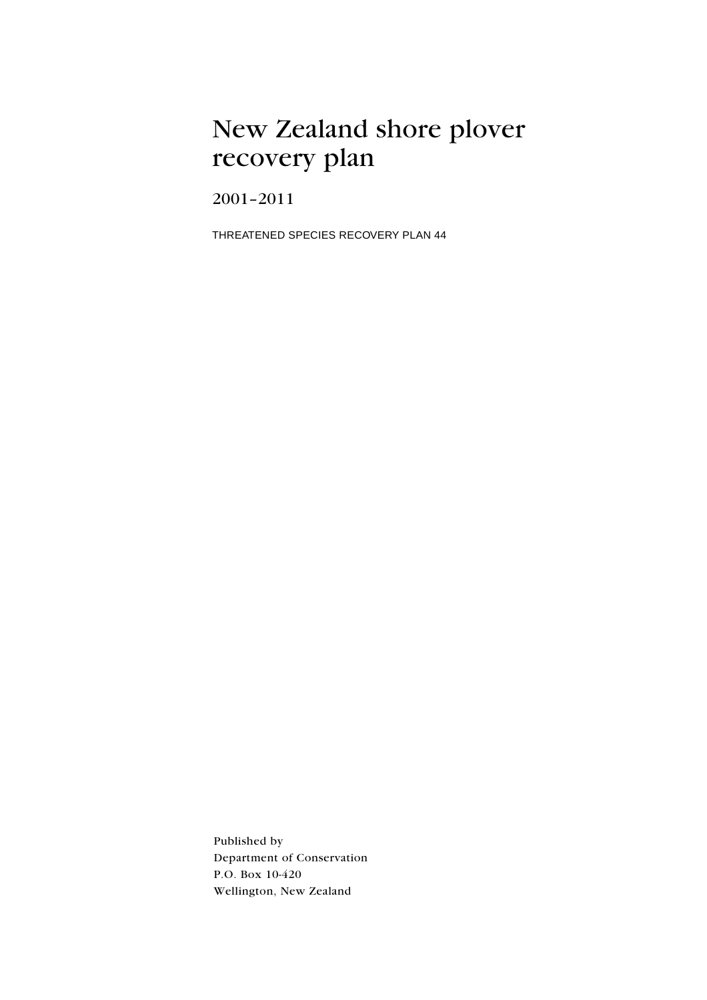## New Zealand shore plover recovery plan

 $2001 - 2011$ 

THREATENED SPECIES RECOVERY PLAN 44

Published by Department of Conservation P.O. Box 10-420 Wellington, New Zealand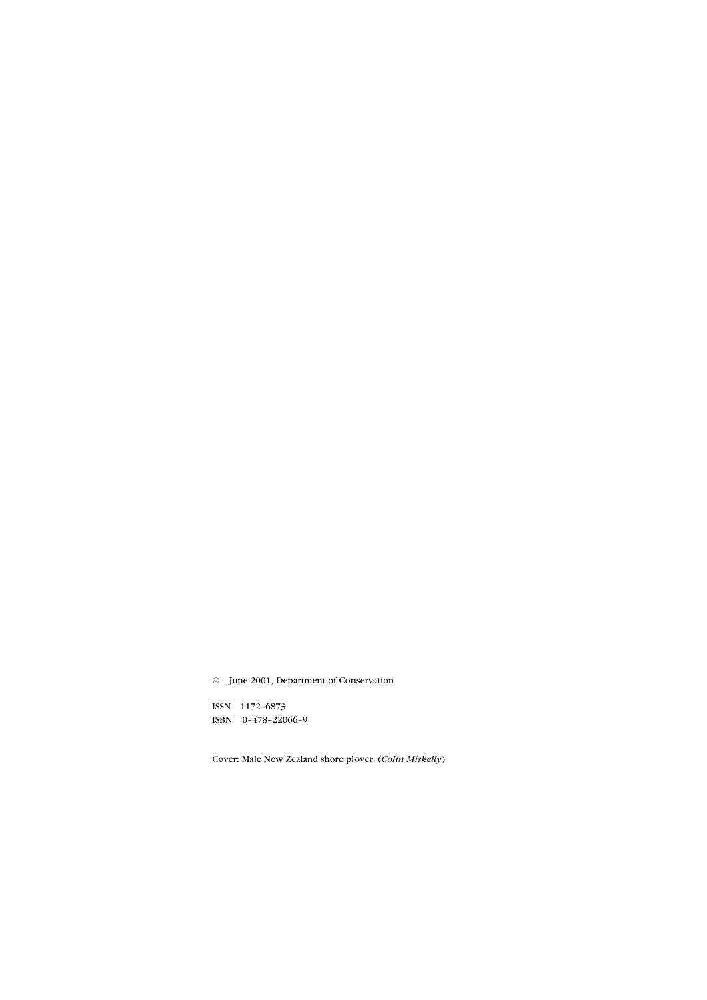© June 2001, Department of Conservation

ISSN 1172-6873 ISBN 0-478-22066-9

Cover: Male New Zealand shore plover. (Colin Miskelly)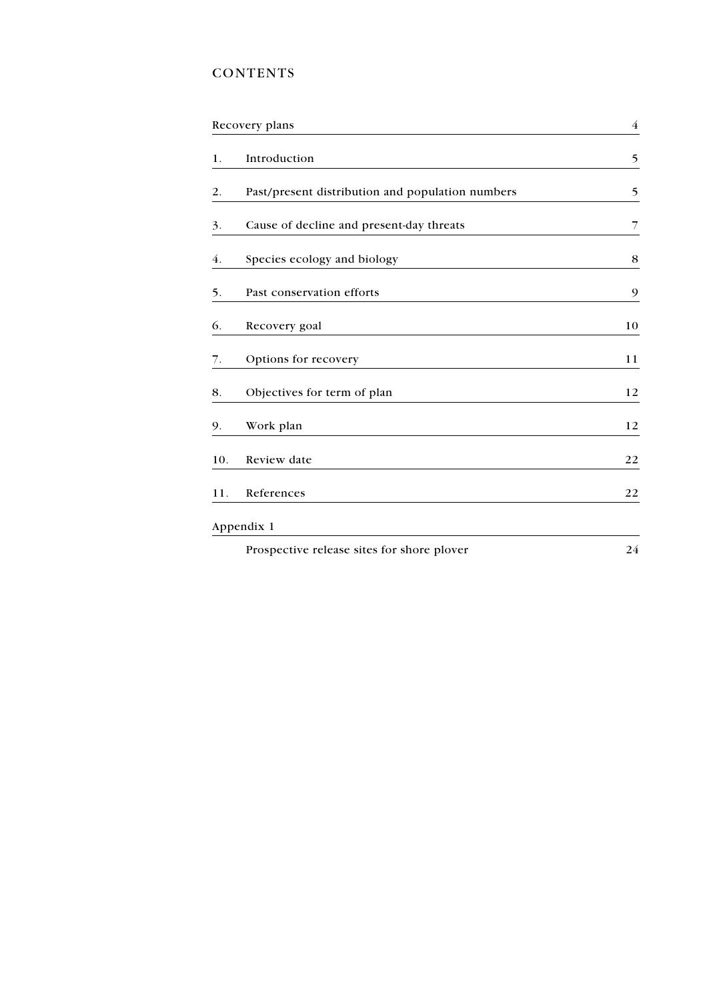## **CONTENTS**

| Recovery plans |                                                  |             |  |  |
|----------------|--------------------------------------------------|-------------|--|--|
| 1.             | Introduction                                     | 5           |  |  |
| 2.             | Past/present distribution and population numbers | 5           |  |  |
| 3.             | Cause of decline and present-day threats         | 7           |  |  |
| 4.             | Species ecology and biology                      | $\,$ 8 $\,$ |  |  |
| 5.             | Past conservation efforts                        | 9           |  |  |
| 6.             | Recovery goal                                    | 10          |  |  |
| 7.             | Options for recovery                             | 11          |  |  |
| 8.             | Objectives for term of plan                      | 12          |  |  |
| 9.             | Work plan                                        | 12          |  |  |
| 10.            | Review date                                      | 22          |  |  |
| 11.            | References                                       | 22          |  |  |
|                | Appendix 1                                       |             |  |  |
|                | Prospective release sites for shore plover       | 24          |  |  |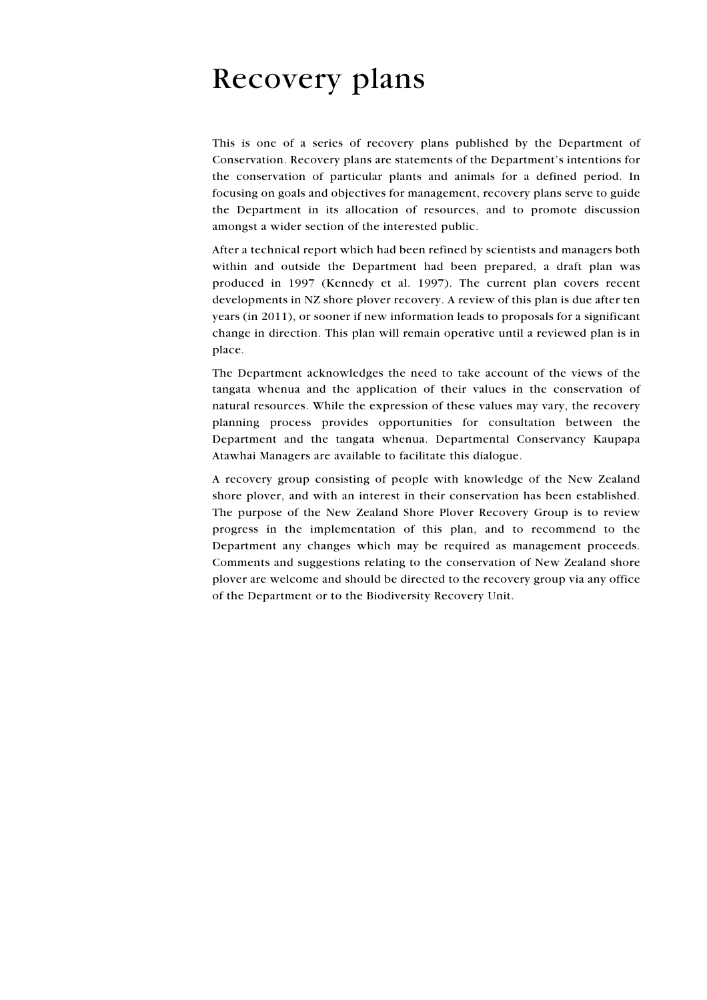## <span id="page-3-0"></span>**Recovery plans**

This is one of a series of recovery plans published by the Department of Conservation. Recovery plans are statements of the Department's intentions for the conservation of particular plants and animals for a defined period. In focusing on goals and objectives for management, recovery plans serve to guide the Department in its allocation of resources, and to promote discussion amongst a wider section of the interested public.

After a technical report which had been refined by scientists and managers both within and outside the Department had been prepared, a draft plan was produced in 1997 (Kennedy et al. 1997). The current plan covers recent developments in NZ shore plover recovery. A review of this plan is due after ten years (in 2011), or sooner if new information leads to proposals for a significant change in direction. This plan will remain operative until a reviewed plan is in place.

The Department acknowledges the need to take account of the views of the tangata whenua and the application of their values in the conservation of natural resources. While the expression of these values may vary, the recovery planning process provides opportunities for consultation between the Department and the tangata whenua. Departmental Conservancy Kaupapa Atawhai Managers are available to facilitate this dialogue.

A recovery group consisting of people with knowledge of the New Zealand shore plover, and with an interest in their conservation has been established. The purpose of the New Zealand Shore Plover Recovery Group is to review progress in the implementation of this plan, and to recommend to the Department any changes which may be required as management proceeds. Comments and suggestions relating to the conservation of New Zealand shore plover are welcome and should be directed to the recovery group via any office of the Department or to the Biodiversity Recovery Unit.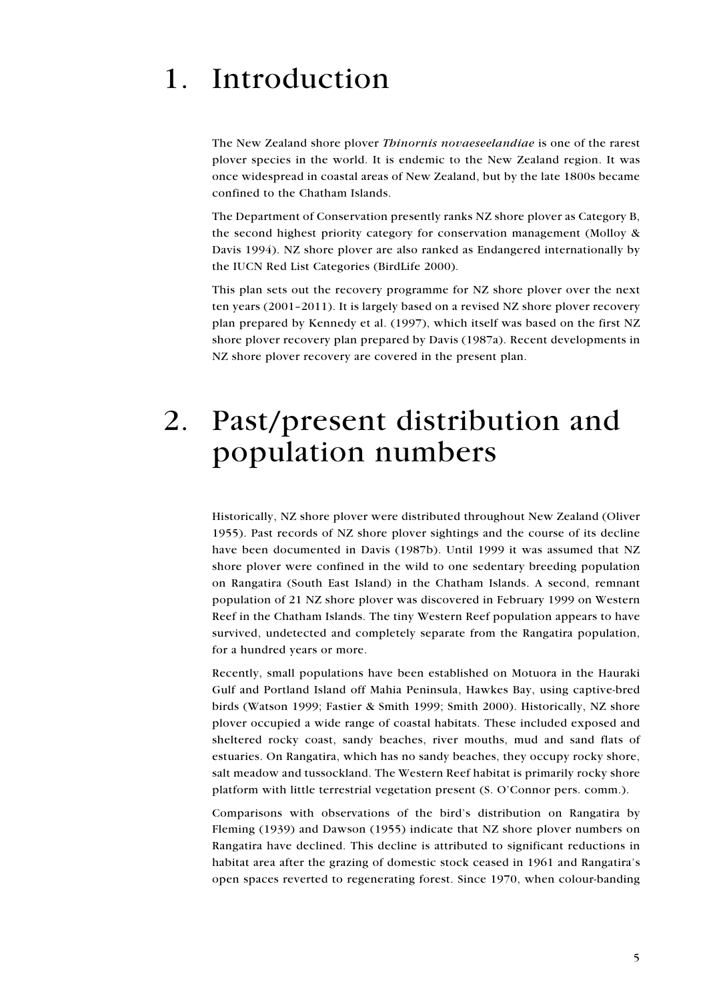## <span id="page-4-0"></span>Introduction  $\mathbf{1}$

The New Zealand shore plover Thinornis novaeseelandiae is one of the rarest plover species in the world. It is endemic to the New Zealand region. It was once widespread in coastal areas of New Zealand, but by the late 1800s became confined to the Chatham Islands.

The Department of Conservation presently ranks NZ shore plover as Category B, the second highest priority category for conservation management (Molloy & Davis 1994). NZ shore plover are also ranked as Endangered internationally by the IUCN Red List Categories (BirdLife 2000).

This plan sets out the recovery programme for NZ shore plover over the next ten years (2001–2011). It is largely based on a revised NZ shore plover recovery plan prepared by Kennedy et al. (1997), which itself was based on the first NZ shore plover recovery plan prepared by Davis (1987a). Recent developments in NZ shore plover recovery are covered in the present plan.

## Past/present distribution and  $2.$ population numbers

Historically, NZ shore plover were distributed throughout New Zealand (Oliver 1955). Past records of NZ shore plover sightings and the course of its decline have been documented in Davis (1987b). Until 1999 it was assumed that NZ shore plover were confined in the wild to one sedentary breeding population on Rangatira (South East Island) in the Chatham Islands. A second, remnant population of 21 NZ shore plover was discovered in February 1999 on Western Reef in the Chatham Islands. The tiny Western Reef population appears to have survived, undetected and completely separate from the Rangatira population, for a hundred years or more.

Recently, small populations have been established on Motuora in the Hauraki Gulf and Portland Island off Mahia Peninsula, Hawkes Bay, using captive-bred birds (Watson 1999; Fastier & Smith 1999; Smith 2000). Historically, NZ shore plover occupied a wide range of coastal habitats. These included exposed and sheltered rocky coast, sandy beaches, river mouths, mud and sand flats of estuaries. On Rangatira, which has no sandy beaches, they occupy rocky shore, salt meadow and tussockland. The Western Reef habitat is primarily rocky shore platform with little terrestrial vegetation present (S. O'Connor pers. comm.).

Comparisons with observations of the bird's distribution on Rangatira by Fleming (1939) and Dawson (1955) indicate that NZ shore plover numbers on Rangatira have declined. This decline is attributed to significant reductions in habitat area after the grazing of domestic stock ceased in 1961 and Rangatira's open spaces reverted to regenerating forest. Since 1970, when colour-banding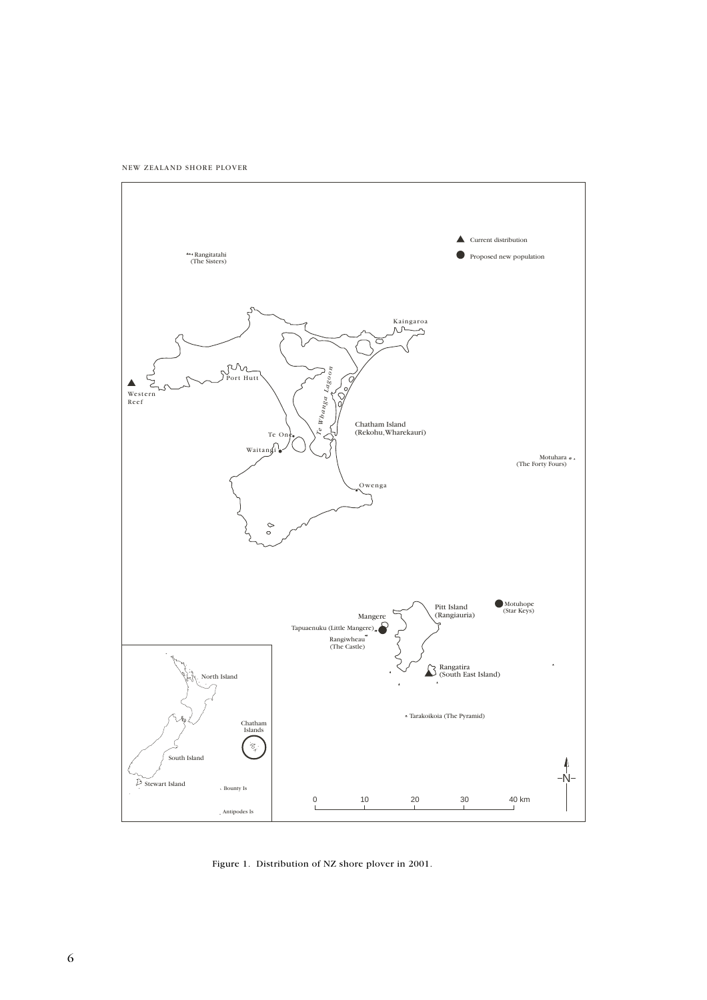NEW ZEALAND SHORE PLOVER



Figure 1. Distribution of NZ shore plover in 2001.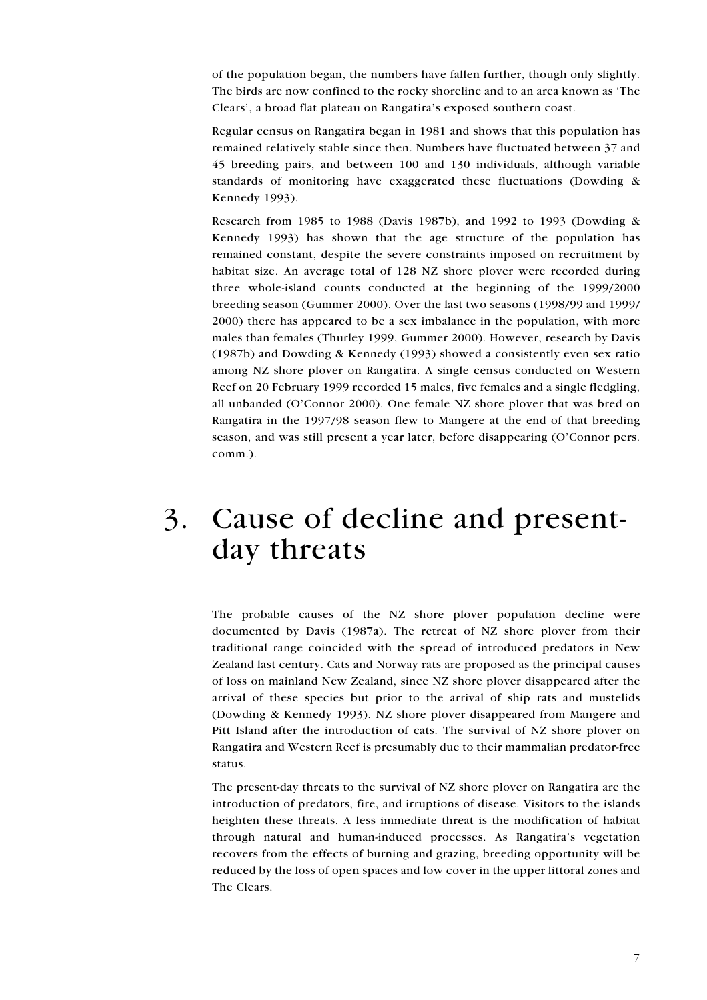<span id="page-6-0"></span>of the population began, the numbers have fallen further, though only slightly. The birds are now confined to the rocky shoreline and to an area known as 'The Clears', a broad flat plateau on Rangatira's exposed southern coast.

Regular census on Rangatira began in 1981 and shows that this population has remained relatively stable since then. Numbers have fluctuated between 37 and 45 breeding pairs, and between 100 and 130 individuals, although variable standards of monitoring have exaggerated these fluctuations (Dowding & Kennedy 1993).

Research from 1985 to 1988 (Davis 1987b), and 1992 to 1993 (Dowding & Kennedy 1993) has shown that the age structure of the population has remained constant, despite the severe constraints imposed on recruitment by habitat size. An average total of 128 NZ shore plover were recorded during three whole-island counts conducted at the beginning of the 1999/2000 breeding season (Gummer 2000). Over the last two seasons (1998/99 and 1999/ 2000) there has appeared to be a sex imbalance in the population, with more males than females (Thurley 1999, Gummer 2000). However, research by Davis (1987b) and Dowding & Kennedy (1993) showed a consistently even sex ratio among NZ shore plover on Rangatira. A single census conducted on Western Reef on 20 February 1999 recorded 15 males, five females and a single fledgling, all unbanded (O'Connor 2000). One female NZ shore plover that was bred on Rangatira in the 1997/98 season flew to Mangere at the end of that breeding season, and was still present a year later, before disappearing (O'Connor pers. comm.).

## Cause of decline and present-3. day threats

The probable causes of the NZ shore plover population decline were documented by Davis (1987a). The retreat of NZ shore plover from their traditional range coincided with the spread of introduced predators in New Zealand last century. Cats and Norway rats are proposed as the principal causes of loss on mainland New Zealand, since NZ shore plover disappeared after the arrival of these species but prior to the arrival of ship rats and mustelids (Dowding & Kennedy 1993). NZ shore plover disappeared from Mangere and Pitt Island after the introduction of cats. The survival of NZ shore plover on Rangatira and Western Reef is presumably due to their mammalian predator-free status.

The present-day threats to the survival of NZ shore plover on Rangatira are the introduction of predators, fire, and irruptions of disease. Visitors to the islands heighten these threats. A less immediate threat is the modification of habitat through natural and human-induced processes. As Rangatira's vegetation recovers from the effects of burning and grazing, breeding opportunity will be reduced by the loss of open spaces and low cover in the upper littoral zones and The Clears.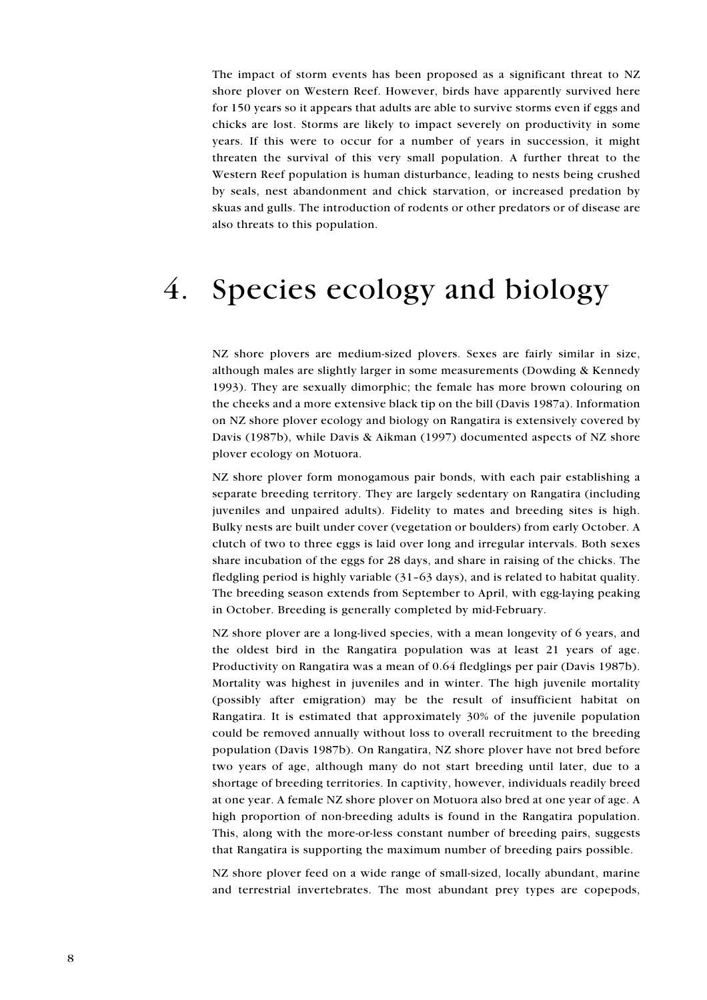<span id="page-7-0"></span>The impact of storm events has been proposed as a significant threat to NZ shore plover on Western Reef. However, birds have apparently survived here for 150 years so it appears that adults are able to survive storms even if eggs and chicks are lost. Storms are likely to impact severely on productivity in some years. If this were to occur for a number of years in succession, it might threaten the survival of this very small population. A further threat to the Western Reef population is human disturbance, leading to nests being crushed by seals, nest abandonment and chick starvation, or increased predation by skuas and gulls. The introduction of rodents or other predators or of disease are also threats to this population.

## $\overline{4}$ . Species ecology and biology

NZ shore plovers are medium-sized plovers. Sexes are fairly similar in size, although males are slightly larger in some measurements (Dowding & Kennedy 1993). They are sexually dimorphic; the female has more brown colouring on the cheeks and a more extensive black tip on the bill (Davis 1987a). Information on NZ shore plover ecology and biology on Rangatira is extensively covered by Davis (1987b), while Davis & Aikman (1997) documented aspects of NZ shore plover ecology on Motuora.

NZ shore plover form monogamous pair bonds, with each pair establishing a separate breeding territory. They are largely sedentary on Rangatira (including juveniles and unpaired adults). Fidelity to mates and breeding sites is high. Bulky nests are built under cover (vegetation or boulders) from early October. A clutch of two to three eggs is laid over long and irregular intervals. Both sexes share incubation of the eggs for 28 days, and share in raising of the chicks. The fledgling period is highly variable (31-63 days), and is related to habitat quality. The breeding season extends from September to April, with egg-laying peaking in October. Breeding is generally completed by mid-February.

NZ shore plover are a long-lived species, with a mean longevity of 6 years, and the oldest bird in the Rangatira population was at least 21 years of age. Productivity on Rangatira was a mean of 0.64 fledglings per pair (Davis 1987b). Mortality was highest in juveniles and in winter. The high juvenile mortality (possibly after emigration) may be the result of insufficient habitat on Rangatira. It is estimated that approximately 30% of the juvenile population could be removed annually without loss to overall recruitment to the breeding population (Davis 1987b). On Rangatira, NZ shore plover have not bred before two years of age, although many do not start breeding until later, due to a shortage of breeding territories. In captivity, however, individuals readily breed at one year. A female NZ shore plover on Motuora also bred at one year of age. A high proportion of non-breeding adults is found in the Rangatira population. This, along with the more-or-less constant number of breeding pairs, suggests that Rangatira is supporting the maximum number of breeding pairs possible.

NZ shore plover feed on a wide range of small-sized, locally abundant, marine and terrestrial invertebrates. The most abundant prey types are copepods,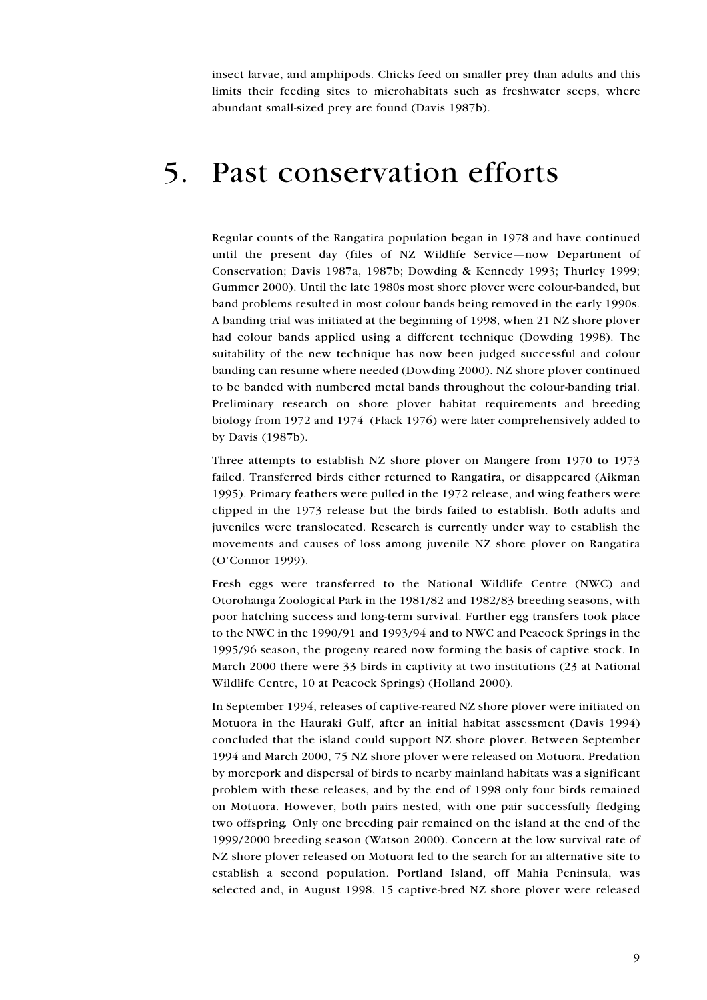<span id="page-8-0"></span>insect larvae, and amphipods. Chicks feed on smaller prey than adults and this limits their feeding sites to microhabitats such as freshwater seeps, where abundant small-sized prey are found (Davis 1987b).

#### $5<sub>1</sub>$ Past conservation efforts

Regular counts of the Rangatira population began in 1978 and have continued until the present day (files of NZ Wildlife Service—now Department of Conservation; Davis 1987a, 1987b; Dowding & Kennedy 1993; Thurley 1999; Gummer 2000). Until the late 1980s most shore plover were colour-banded, but band problems resulted in most colour bands being removed in the early 1990s. A banding trial was initiated at the beginning of 1998, when 21 NZ shore plover had colour bands applied using a different technique (Dowding 1998). The suitability of the new technique has now been judged successful and colour banding can resume where needed (Dowding 2000). NZ shore plover continued to be banded with numbered metal bands throughout the colour-banding trial. Preliminary research on shore plover habitat requirements and breeding biology from 1972 and 1974 (Flack 1976) were later comprehensively added to by Davis (1987b).

Three attempts to establish NZ shore plover on Mangere from 1970 to 1973 failed. Transferred birds either returned to Rangatira, or disappeared (Aikman 1995). Primary feathers were pulled in the 1972 release, and wing feathers were clipped in the 1973 release but the birds failed to establish. Both adults and juveniles were translocated. Research is currently under way to establish the movements and causes of loss among juvenile NZ shore plover on Rangatira (O'Connor 1999).

Fresh eggs were transferred to the National Wildlife Centre (NWC) and Otorohanga Zoological Park in the 1981/82 and 1982/83 breeding seasons, with poor hatching success and long-term survival. Further egg transfers took place to the NWC in the 1990/91 and 1993/94 and to NWC and Peacock Springs in the 1995/96 season, the progeny reared now forming the basis of captive stock. In March 2000 there were 33 birds in captivity at two institutions (23 at National Wildlife Centre, 10 at Peacock Springs) (Holland 2000).

In September 1994, releases of captive-reared NZ shore plover were initiated on Motuora in the Hauraki Gulf, after an initial habitat assessment (Davis 1994) concluded that the island could support NZ shore plover. Between September 1994 and March 2000, 75 NZ shore plover were released on Motuora. Predation by morepork and dispersal of birds to nearby mainland habitats was a significant problem with these releases, and by the end of 1998 only four birds remained on Motuora. However, both pairs nested, with one pair successfully fledging two offspring. Only one breeding pair remained on the island at the end of the 1999/2000 breeding season (Watson 2000). Concern at the low survival rate of NZ shore plover released on Motuora led to the search for an alternative site to establish a second population. Portland Island, off Mahia Peninsula, was selected and, in August 1998, 15 captive-bred NZ shore plover were released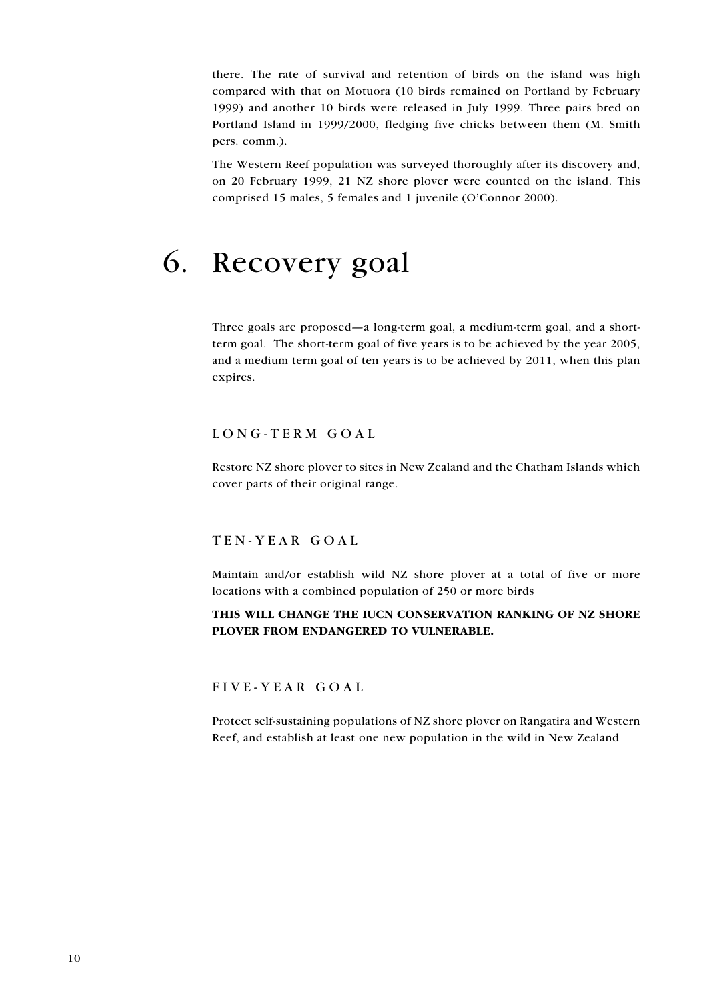<span id="page-9-0"></span>there. The rate of survival and retention of birds on the island was high compared with that on Motuora (10 birds remained on Portland by February 1999) and another 10 birds were released in July 1999. Three pairs bred on Portland Island in 1999/2000, fledging five chicks between them (M. Smith pers. comm.).

The Western Reef population was surveyed thoroughly after its discovery and, on 20 February 1999, 21 NZ shore plover were counted on the island. This comprised 15 males, 5 females and 1 juvenile (O'Connor 2000).

## 6. Recovery goal

Three goals are proposed—a long-term goal, a medium-term goal, and a shortterm goal. The short-term goal of five years is to be achieved by the year 2005, and a medium term goal of ten years is to be achieved by 2011, when this plan expires.

#### LONG-TERM GOAL

Restore NZ shore plover to sites in New Zealand and the Chatham Islands which cover parts of their original range.

### TEN-YEAR GOAL

Maintain and/or establish wild NZ shore plover at a total of five or more locations with a combined population of 250 or more birds

### THIS WILL CHANGE THE IUCN CONSERVATION RANKING OF NZ SHORE PLOVER FROM ENDANGERED TO VULNERABLE.

FIVE-YEAR GOAL

Protect self-sustaining populations of NZ shore plover on Rangatira and Western Reef, and establish at least one new population in the wild in New Zealand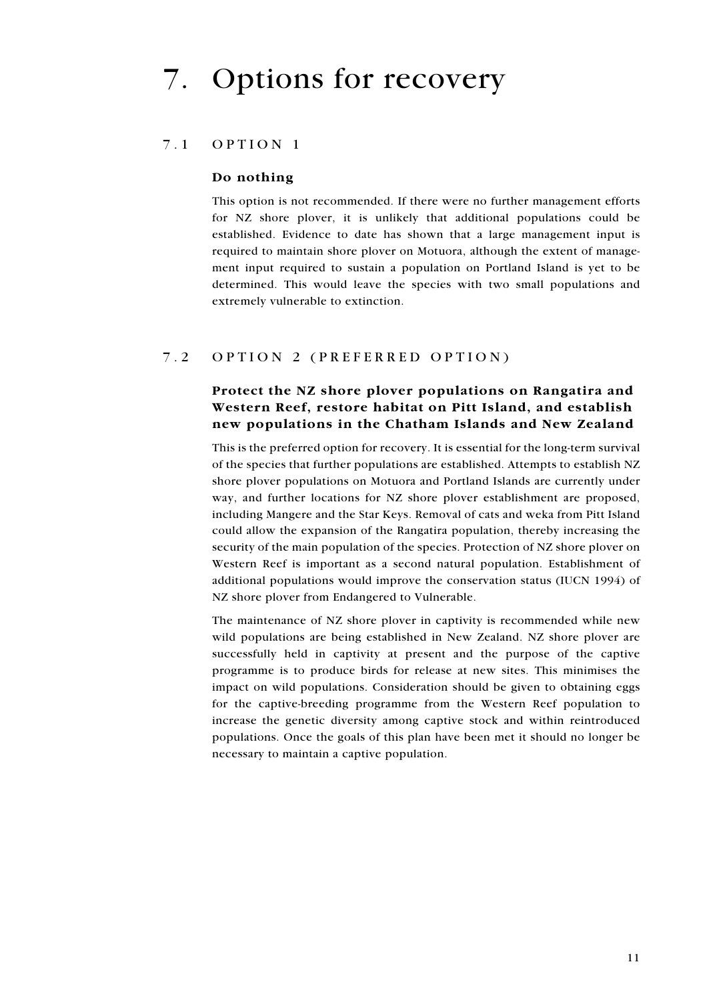#### $7.1$ OPTION 1

## Do nothing

This option is not recommended. If there were no further management efforts for NZ shore plover, it is unlikely that additional populations could be established. Evidence to date has shown that a large management input is required to maintain shore plover on Motuora, although the extent of management input required to sustain a population on Portland Island is yet to be determined. This would leave the species with two small populations and extremely vulnerable to extinction.

#### $7.2$ OPTION 2 (PREFERRED OPTION)

## Protect the NZ shore plover populations on Rangatira and Western Reef, restore habitat on Pitt Island, and establish new populations in the Chatham Islands and New Zealand

This is the preferred option for recovery. It is essential for the long-term survival of the species that further populations are established. Attempts to establish NZ shore plover populations on Motuora and Portland Islands are currently under way, and further locations for NZ shore plover establishment are proposed, including Mangere and the Star Keys. Removal of cats and weka from Pitt Island could allow the expansion of the Rangatira population, thereby increasing the security of the main population of the species. Protection of NZ shore plover on Western Reef is important as a second natural population. Establishment of additional populations would improve the conservation status (IUCN 1994) of NZ shore plover from Endangered to Vulnerable.

The maintenance of NZ shore plover in captivity is recommended while new wild populations are being established in New Zealand. NZ shore plover are successfully held in captivity at present and the purpose of the captive programme is to produce birds for release at new sites. This minimises the impact on wild populations. Consideration should be given to obtaining eggs for the captive-breeding programme from the Western Reef population to increase the genetic diversity among captive stock and within reintroduced populations. Once the goals of this plan have been met it should no longer be necessary to maintain a captive population.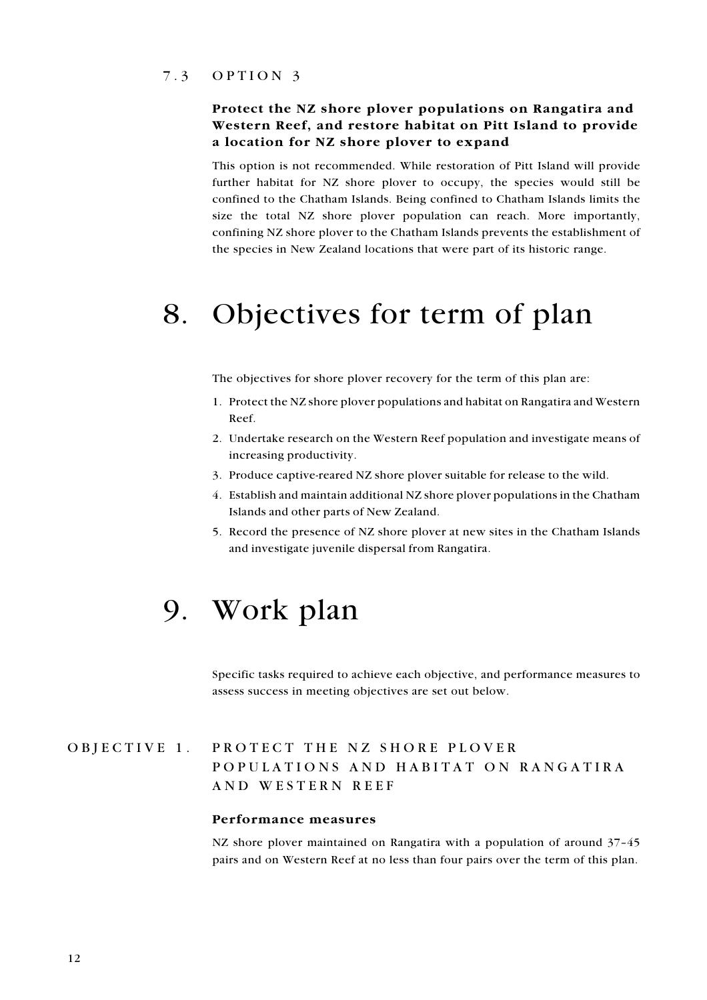### <span id="page-11-0"></span> $7.3$  OPTION 3

## Protect the NZ shore plover populations on Rangatira and Western Reef, and restore habitat on Pitt Island to provide a location for NZ shore plover to expand

This option is not recommended. While restoration of Pitt Island will provide further habitat for NZ shore plover to occupy, the species would still be confined to the Chatham Islands. Being confined to Chatham Islands limits the size the total NZ shore plover population can reach. More importantly, confining NZ shore plover to the Chatham Islands prevents the establishment of the species in New Zealand locations that were part of its historic range.

## 8. Objectives for term of plan

The objectives for shore plover recovery for the term of this plan are:

- 1. Protect the NZ shore plover populations and habitat on Rangatira and Western  $Reef$
- 2. Undertake research on the Western Reef population and investigate means of increasing productivity.
- 3. Produce captive-reared NZ shore plover suitable for release to the wild.
- 4. Establish and maintain additional NZ shore plover populations in the Chatham Islands and other parts of New Zealand.
- 5. Record the presence of NZ shore plover at new sites in the Chatham Islands and investigate juvenile dispersal from Rangatira.

## 9. Work plan

Specific tasks required to achieve each objective, and performance measures to assess success in meeting objectives are set out below.

#### PROTECT THE NZ SHORE PLOVER OBJECTIVE 1. POPULATIONS AND HABITAT ON RANGATIRA AND WESTERN REEF

#### Performance measures

NZ shore plover maintained on Rangatira with a population of around 37-45 pairs and on Western Reef at no less than four pairs over the term of this plan.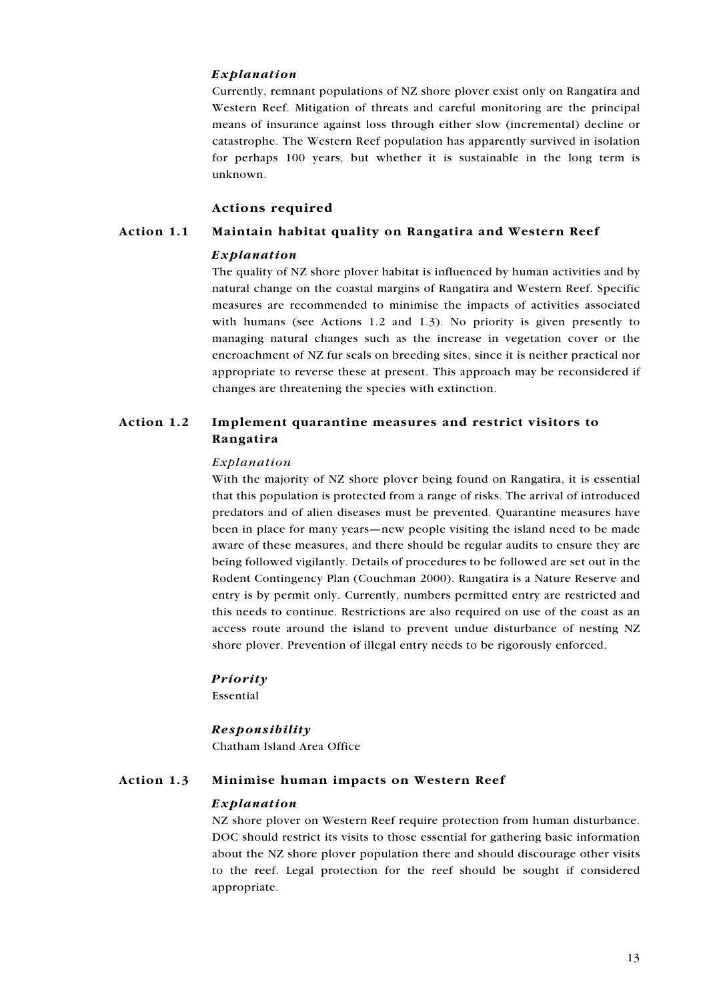#### Explanation

Currently, remnant populations of NZ shore plover exist only on Rangatira and Western Reef. Mitigation of threats and careful monitoring are the principal means of insurance against loss through either slow (incremental) decline or catastrophe. The Western Reef population has apparently survived in isolation for perhaps 100 years, but whether it is sustainable in the long term is unknown.

#### **Actions required**

#### Action 1.1 Maintain habitat quality on Rangatira and Western Reef

#### Explanation

The quality of NZ shore plover habitat is influenced by human activities and by natural change on the coastal margins of Rangatira and Western Reef. Specific measures are recommended to minimise the impacts of activities associated with humans (see Actions  $1.2$  and  $1.3$ ). No priority is given presently to managing natural changes such as the increase in vegetation cover or the encroachment of NZ fur seals on breeding sites, since it is neither practical nor appropriate to reverse these at present. This approach may be reconsidered if changes are threatening the species with extinction.

#### Implement quarantine measures and restrict visitors to Action 1.2 Rangatira

#### Explanation

With the majority of NZ shore plover being found on Rangatira, it is essential that this population is protected from a range of risks. The arrival of introduced predators and of alien diseases must be prevented. Quarantine measures have been in place for many years—new people visiting the island need to be made aware of these measures, and there should be regular audits to ensure they are being followed vigilantly. Details of procedures to be followed are set out in the Rodent Contingency Plan (Couchman 2000). Rangatira is a Nature Reserve and entry is by permit only. Currently, numbers permitted entry are restricted and this needs to continue. Restrictions are also required on use of the coast as an access route around the island to prevent undue disturbance of nesting NZ shore plover. Prevention of illegal entry needs to be rigorously enforced.

#### Priority

Essential

#### Responsibility

Chatham Island Area Office

#### Action 1.3 Minimise human impacts on Western Reef

#### Explanation

NZ shore plover on Western Reef require protection from human disturbance. DOC should restrict its visits to those essential for gathering basic information about the NZ shore plover population there and should discourage other visits to the reef. Legal protection for the reef should be sought if considered appropriate.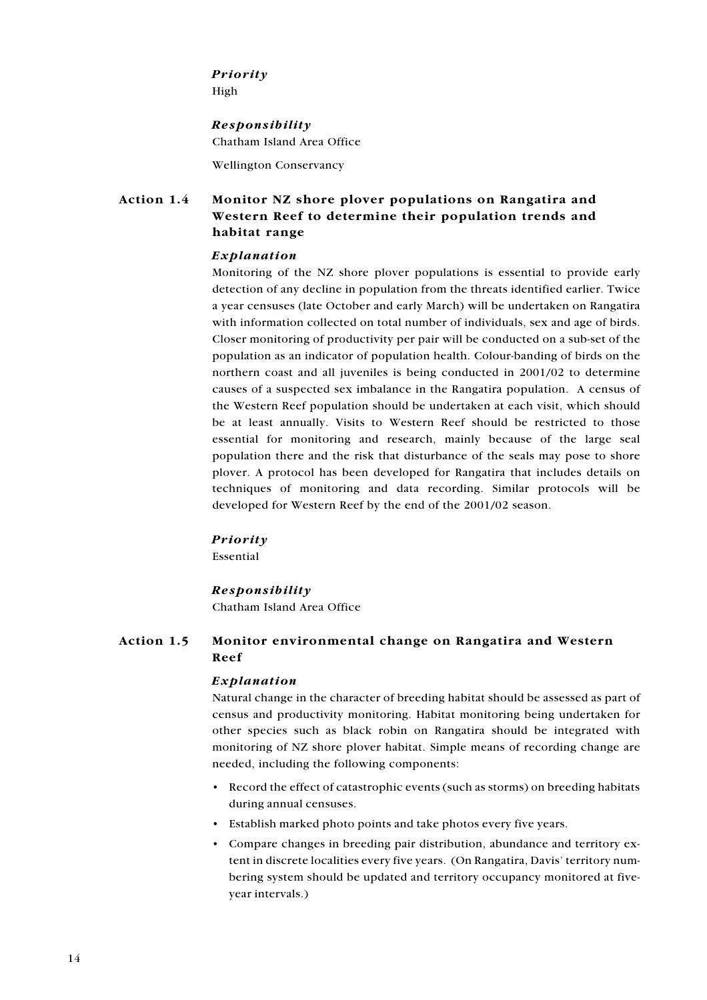## Priority

High

## Responsibility

Chatham Island Area Office

**Wellington Conservancy** 

#### Action 14 Monitor NZ shore plover populations on Rangatira and Western Reef to determine their population trends and habitat range

### Explanation

Monitoring of the NZ shore plover populations is essential to provide early detection of any decline in population from the threats identified earlier. Twice a year censuses (late October and early March) will be undertaken on Rangatira with information collected on total number of individuals, sex and age of birds. Closer monitoring of productivity per pair will be conducted on a sub-set of the population as an indicator of population health. Colour-banding of birds on the northern coast and all juveniles is being conducted in 2001/02 to determine causes of a suspected sex imbalance in the Rangatira population. A census of the Western Reef population should be undertaken at each visit, which should be at least annually. Visits to Western Reef should be restricted to those essential for monitoring and research, mainly because of the large seal population there and the risk that disturbance of the seals may pose to shore plover. A protocol has been developed for Rangatira that includes details on techniques of monitoring and data recording. Similar protocols will be developed for Western Reef by the end of the 2001/02 season.

#### Priority

Essential

## Responsibility

Chatham Island Area Office

#### Action 1.5 Monitor environmental change on Rangatira and Western Reef

#### Explanation

Natural change in the character of breeding habitat should be assessed as part of census and productivity monitoring. Habitat monitoring being undertaken for other species such as black robin on Rangatira should be integrated with monitoring of NZ shore plover habitat. Simple means of recording change are needed, including the following components:

- Record the effect of catastrophic events (such as storms) on breeding habitats during annual censuses.
- · Establish marked photo points and take photos every five years.
- Compare changes in breeding pair distribution, abundance and territory extent in discrete localities every five years. (On Rangatira, Davis' territory numbering system should be updated and territory occupancy monitored at fivevear intervals.)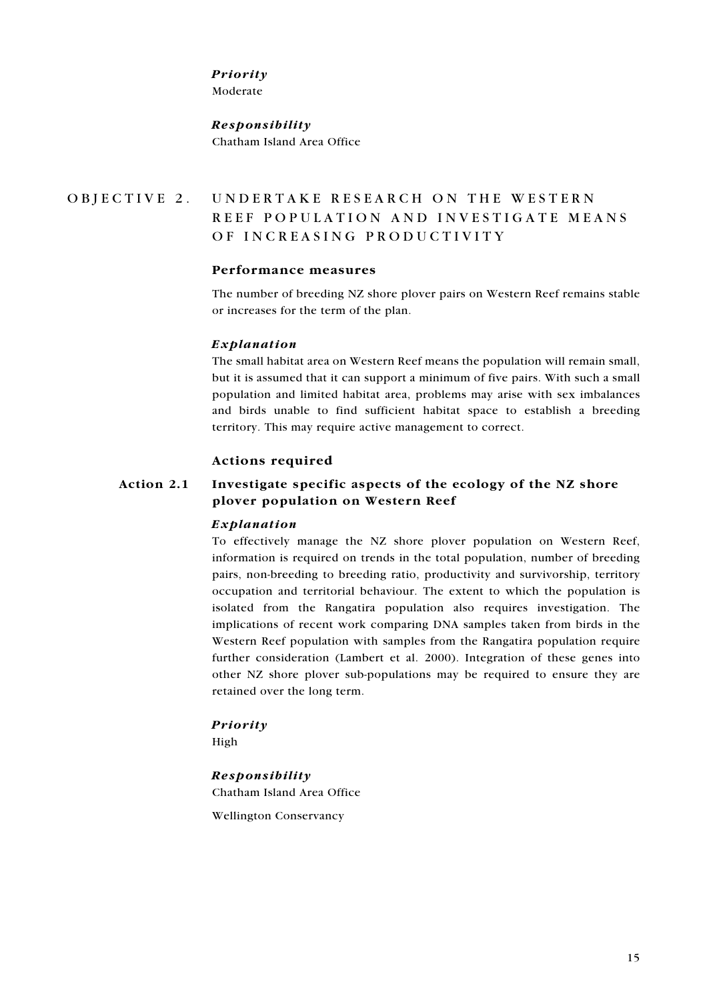#### Priority

Moderate

## Responsibility Chatham Island Area Office

#### UNDERTAKE RESEARCH ON THE WESTERN OBJECTIVE 2. REEF POPULATION AND INVESTIGATE MEANS OF INCREASING PRODUCTIVITY

#### Performance measures

The number of breeding NZ shore plover pairs on Western Reef remains stable or increases for the term of the plan.

## Explanation

The small habitat area on Western Reef means the population will remain small, but it is assumed that it can support a minimum of five pairs. With such a small population and limited habitat area, problems may arise with sex imbalances and birds unable to find sufficient habitat space to establish a breeding territory. This may require active management to correct.

## **Actions required**

#### Action 2.1 Investigate specific aspects of the ecology of the NZ shore plover population on Western Reef

#### Explanation

To effectively manage the NZ shore plover population on Western Reef, information is required on trends in the total population, number of breeding pairs, non-breeding to breeding ratio, productivity and survivorship, territory occupation and territorial behaviour. The extent to which the population is isolated from the Rangatira population also requires investigation. The implications of recent work comparing DNA samples taken from birds in the Western Reef population with samples from the Rangatira population require further consideration (Lambert et al. 2000). Integration of these genes into other NZ shore plover sub-populations may be required to ensure they are retained over the long term.

#### Priority

High

#### Responsibility

Chatham Island Area Office

**Wellington Conservancy**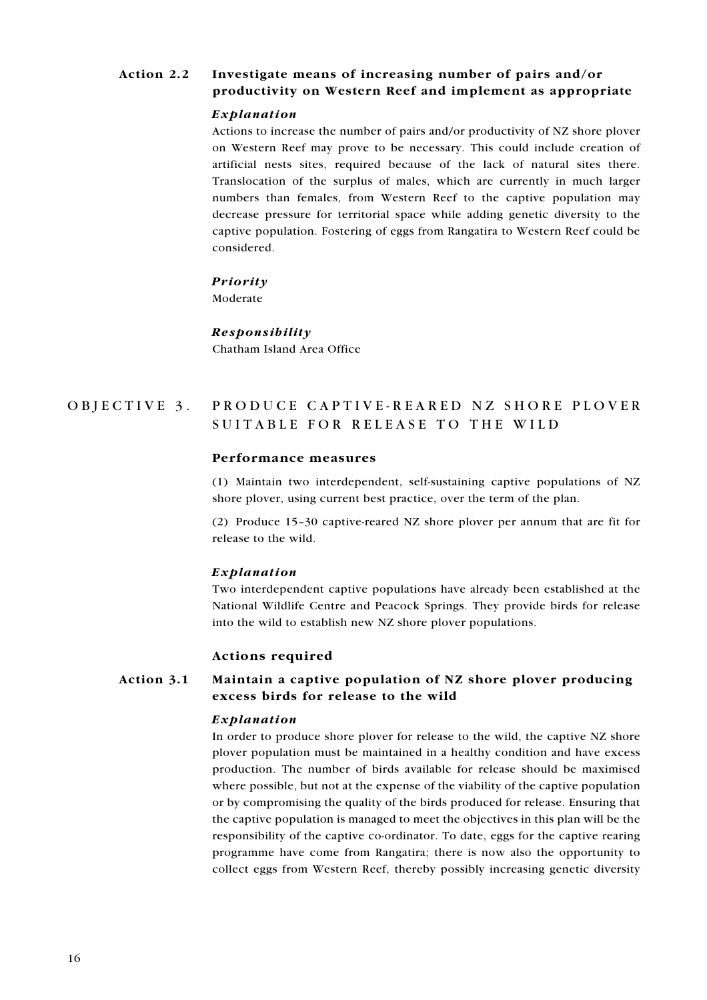#### Action 2.2 Investigate means of increasing number of pairs and/or productivity on Western Reef and implement as appropriate

#### Explanation

Actions to increase the number of pairs and/or productivity of NZ shore plover on Western Reef may prove to be necessary. This could include creation of artificial nests sites, required because of the lack of natural sites there. Translocation of the surplus of males, which are currently in much larger numbers than females, from Western Reef to the captive population may decrease pressure for territorial space while adding genetic diversity to the captive population. Fostering of eggs from Rangatira to Western Reef could be considered.

#### Priority

Moderate

#### Responsibility

Chatham Island Area Office

#### PRODUCE CAPTIVE-REARED NZ SHORE PLOVER OBJECTIVE 3. SUITABLE FOR RELEASE TO THE WILD

#### Performance measures

(1) Maintain two interdependent, self-sustaining captive populations of NZ shore plover, using current best practice, over the term of the plan.

(2) Produce 15-30 captive-reared NZ shore plover per annum that are fit for release to the wild.

#### Explanation

Two interdependent captive populations have already been established at the National Wildlife Centre and Peacock Springs. They provide birds for release into the wild to establish new NZ shore plover populations.

#### **Actions required**

#### Action 3.1 Maintain a captive population of NZ shore plover producing excess birds for release to the wild

#### Explanation

In order to produce shore plover for release to the wild, the captive NZ shore plover population must be maintained in a healthy condition and have excess production. The number of birds available for release should be maximised where possible, but not at the expense of the viability of the captive population or by compromising the quality of the birds produced for release. Ensuring that the captive population is managed to meet the objectives in this plan will be the responsibility of the captive co-ordinator. To date, eggs for the captive rearing programme have come from Rangatira; there is now also the opportunity to collect eggs from Western Reef, thereby possibly increasing genetic diversity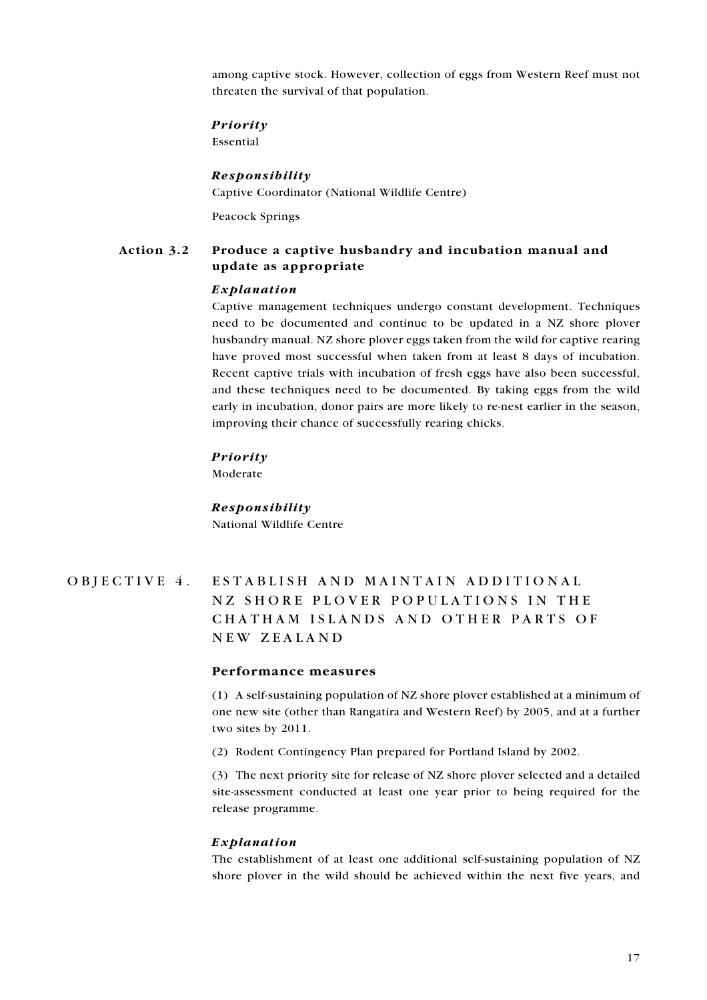among captive stock. However, collection of eggs from Western Reef must not threaten the survival of that population.

#### Priority

Essential

#### Responsibility

Captive Coordinator (National Wildlife Centre)

**Peacock Springs** 

#### Action 3.2 Produce a captive husbandry and incubation manual and update as appropriate

#### Explanation

Captive management techniques undergo constant development. Techniques need to be documented and continue to be updated in a NZ shore plover husbandry manual. NZ shore plover eggs taken from the wild for captive rearing have proved most successful when taken from at least 8 days of incubation. Recent captive trials with incubation of fresh eggs have also been successful, and these techniques need to be documented. By taking eggs from the wild early in incubation, donor pairs are more likely to re-nest earlier in the season, improving their chance of successfully rearing chicks.

#### **Priority**

Moderate

Responsibility National Wildlife Centre

#### OBJECTIVE 4. ESTABLISH AND MAINTAIN ADDITIONAL NZ SHORE PLOVER POPULATIONS IN THE CHATHAM ISLANDS AND OTHER PARTS OF NEW ZEALAND

#### Performance measures

(1) A self-sustaining population of NZ shore plover established at a minimum of one new site (other than Rangatira and Western Reef) by 2005, and at a further two sites by 2011.

(2) Rodent Contingency Plan prepared for Portland Island by 2002.

(3) The next priority site for release of NZ shore plover selected and a detailed site-assessment conducted at least one year prior to being required for the release programme.

#### Explanation

The establishment of at least one additional self-sustaining population of NZ shore plover in the wild should be achieved within the next five years, and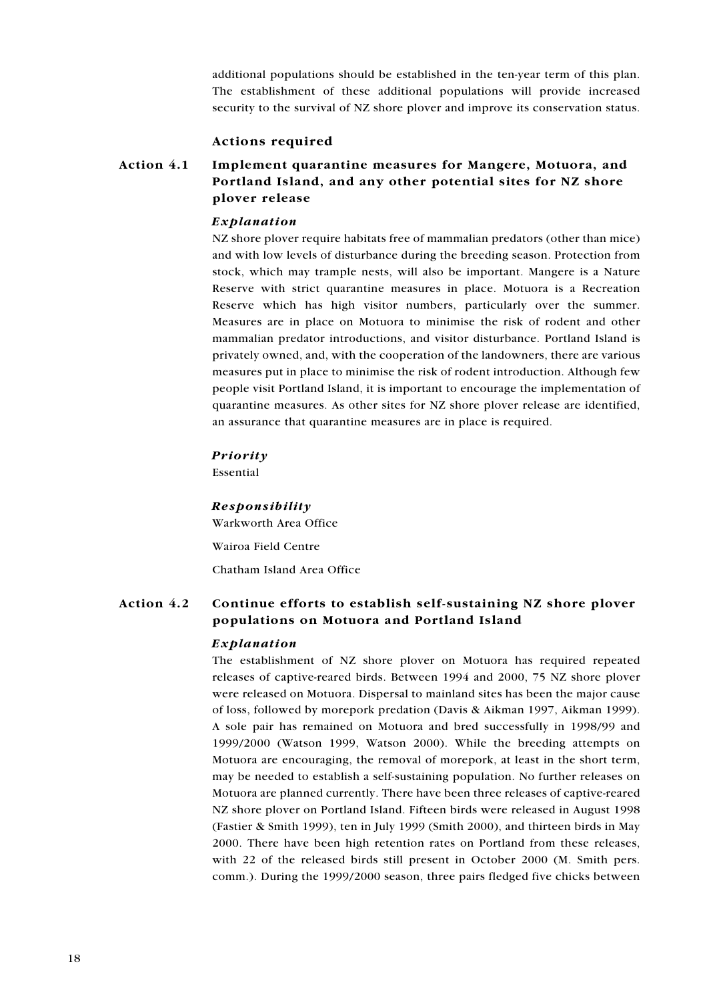additional populations should be established in the ten-year term of this plan. The establishment of these additional populations will provide increased security to the survival of NZ shore plover and improve its conservation status.

#### **Actions required**

#### Action 4.1 Implement quarantine measures for Mangere, Motuora, and Portland Island, and any other potential sites for NZ shore plover release

#### Explanation

NZ shore plover require habitats free of mammalian predators (other than mice) and with low levels of disturbance during the breeding season. Protection from stock, which may trample nests, will also be important. Mangere is a Nature Reserve with strict quarantine measures in place. Motuora is a Recreation Reserve which has high visitor numbers, particularly over the summer. Measures are in place on Motuora to minimise the risk of rodent and other mammalian predator introductions, and visitor disturbance. Portland Island is privately owned, and, with the cooperation of the landowners, there are various measures put in place to minimise the risk of rodent introduction. Although few people visit Portland Island, it is important to encourage the implementation of quarantine measures. As other sites for NZ shore plover release are identified, an assurance that quarantine measures are in place is required.

#### **Priority**

Essential

#### Responsibility

Warkworth Area Office

Wairoa Field Centre Chatham Island Area Office

#### Action 4.2 Continue efforts to establish self-sustaining NZ shore plover populations on Motuora and Portland Island

#### Explanation

The establishment of NZ shore plover on Motuora has required repeated releases of captive-reared birds. Between 1994 and 2000, 75 NZ shore plover were released on Motuora. Dispersal to mainland sites has been the major cause of loss, followed by morepork predation (Davis & Aikman 1997, Aikman 1999). A sole pair has remained on Motuora and bred successfully in 1998/99 and 1999/2000 (Watson 1999, Watson 2000). While the breeding attempts on Motuora are encouraging, the removal of morepork, at least in the short term, may be needed to establish a self-sustaining population. No further releases on Motuora are planned currently. There have been three releases of captive-reared NZ shore plover on Portland Island. Fifteen birds were released in August 1998 (Fastier & Smith 1999), ten in July 1999 (Smith 2000), and thirteen birds in May 2000. There have been high retention rates on Portland from these releases. with 22 of the released birds still present in October 2000 (M. Smith pers. comm.). During the 1999/2000 season, three pairs fledged five chicks between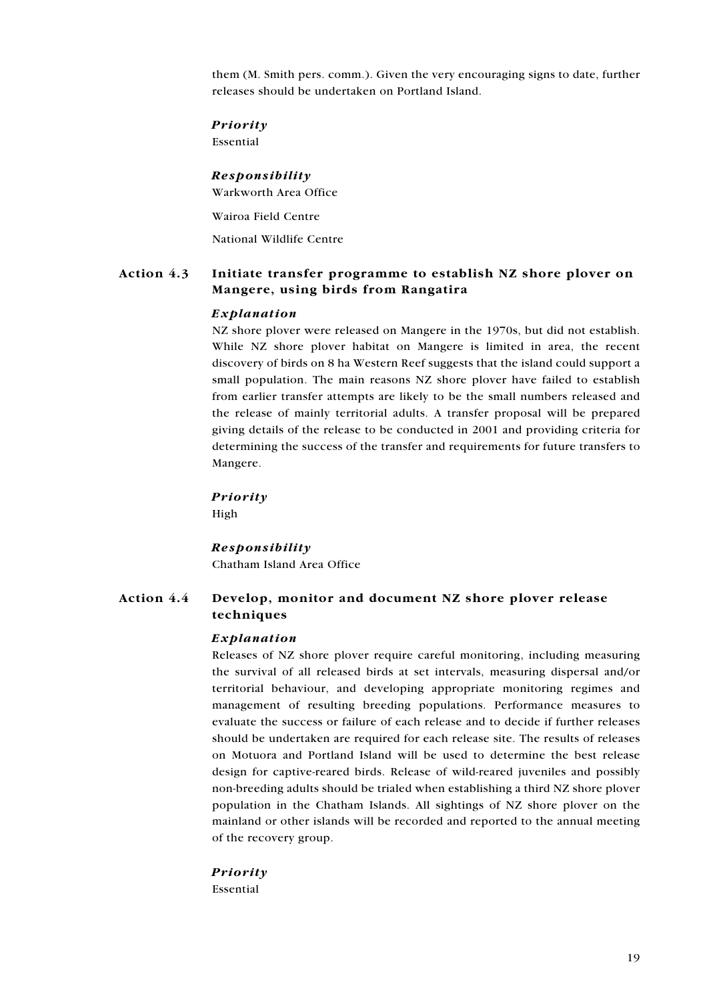them (M. Smith pers. comm.). Given the very encouraging signs to date, further releases should be undertaken on Portland Island.

#### Priority

Essential

#### Responsibility

Warkworth Area Office

Wairoa Field Centre

National Wildlife Centre

#### Action 4.3 Initiate transfer programme to establish NZ shore plover on Mangere, using birds from Rangatira

#### Explanation

NZ shore plover were released on Mangere in the 1970s, but did not establish. While NZ shore plover habitat on Mangere is limited in area, the recent discovery of birds on 8 ha Western Reef suggests that the island could support a small population. The main reasons NZ shore plover have failed to establish from earlier transfer attempts are likely to be the small numbers released and the release of mainly territorial adults. A transfer proposal will be prepared giving details of the release to be conducted in 2001 and providing criteria for determining the success of the transfer and requirements for future transfers to Mangere.

#### Priority

High

#### **Responsibility**

Chatham Island Area Office

#### Action 4.4 Develop, monitor and document NZ shore plover release techniques

#### Explanation

Releases of NZ shore plover require careful monitoring, including measuring the survival of all released birds at set intervals, measuring dispersal and/or territorial behaviour, and developing appropriate monitoring regimes and management of resulting breeding populations. Performance measures to evaluate the success or failure of each release and to decide if further releases should be undertaken are required for each release site. The results of releases on Motuora and Portland Island will be used to determine the best release design for captive-reared birds. Release of wild-reared juveniles and possibly non-breeding adults should be trialed when establishing a third NZ shore plover population in the Chatham Islands. All sightings of NZ shore plover on the mainland or other islands will be recorded and reported to the annual meeting of the recovery group.

#### Priority Essential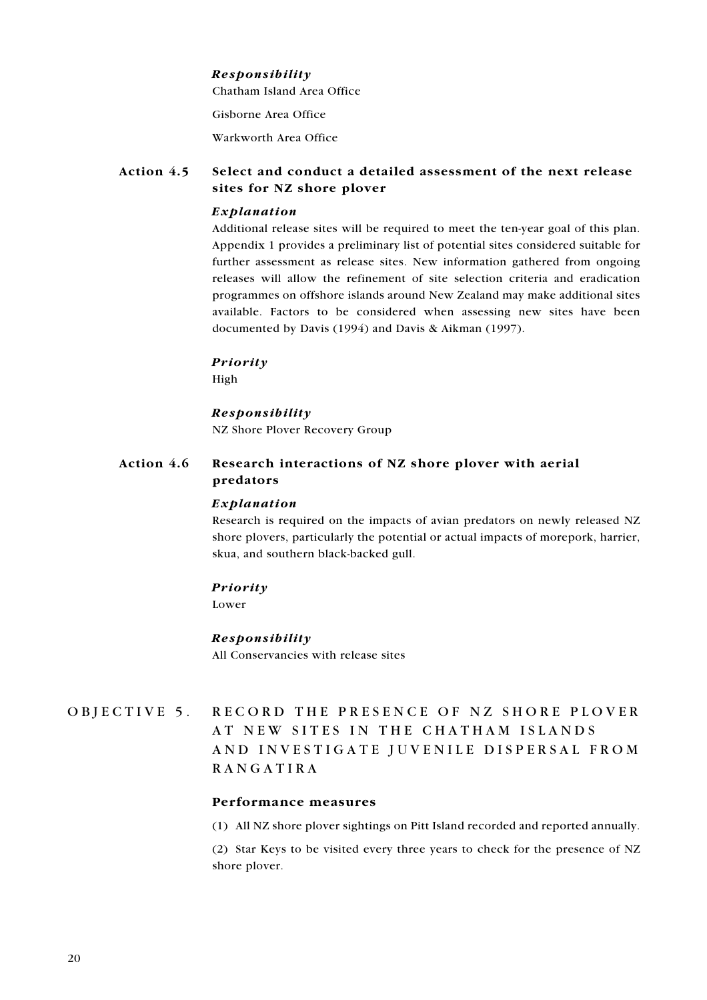#### Responsibility

Chatham Island Area Office

Gisborne Area Office

Warkworth Area Office

#### Action 4.5 Select and conduct a detailed assessment of the next release sites for NZ shore plover

#### Explanation

Additional release sites will be required to meet the ten-year goal of this plan. Appendix 1 provides a preliminary list of potential sites considered suitable for further assessment as release sites. New information gathered from ongoing releases will allow the refinement of site selection criteria and eradication programmes on offshore islands around New Zealand may make additional sites available. Factors to be considered when assessing new sites have been documented by Davis (1994) and Davis & Aikman (1997).

#### Priority

High

#### Responsibility

NZ Shore Plover Recovery Group

#### Action 4.6 Research interactions of NZ shore plover with aerial predators

#### Explanation

Research is required on the impacts of avian predators on newly released NZ shore plovers, particularly the potential or actual impacts of morepork, harrier, skua, and southern black-backed gull.

#### Priority

Lower

#### Responsibility

All Conservancies with release sites

### RECORD THE PRESENCE OF NZ SHORE PLOVER OBJECTIVE 5. AT NEW SITES IN THE CHATHAM ISLANDS AND INVESTIGATE JUVENILE DISPERSAL FROM **RANGATIRA**

## Performance measures

(1) All NZ shore plover sightings on Pitt Island recorded and reported annually.

(2) Star Keys to be visited every three years to check for the presence of NZ shore plover.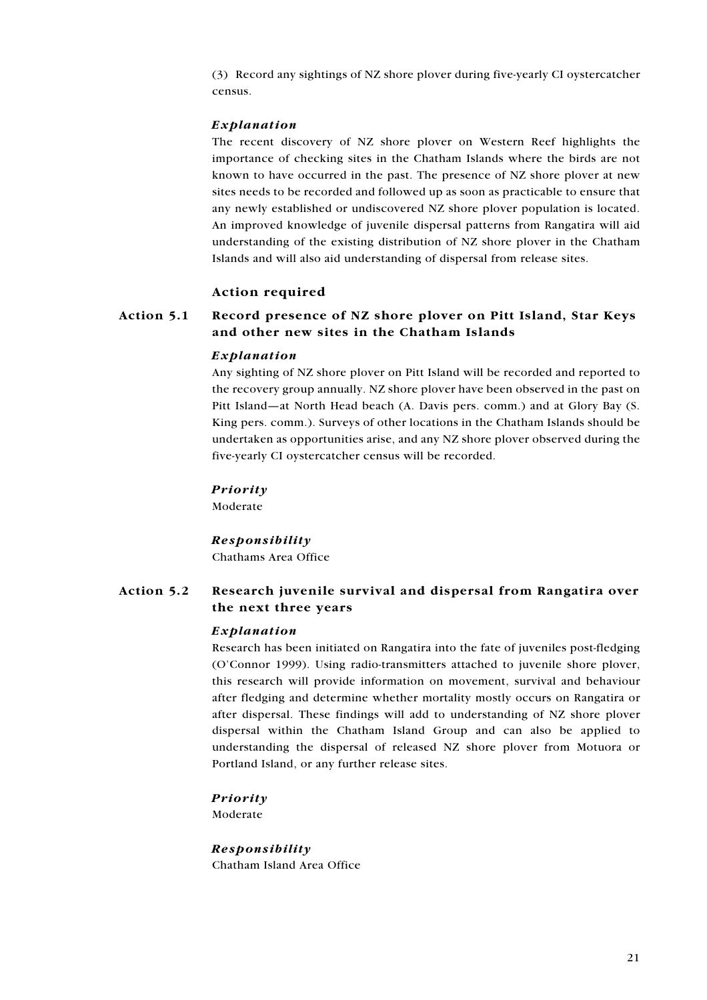<span id="page-20-0"></span>(3) Record any sightings of NZ shore ployer during five-yearly CI ovstercatcher census.

#### Explanation

The recent discovery of NZ shore plover on Western Reef highlights the importance of checking sites in the Chatham Islands where the birds are not known to have occurred in the past. The presence of NZ shore plover at new sites needs to be recorded and followed up as soon as practicable to ensure that any newly established or undiscovered NZ shore plover population is located. An improved knowledge of juvenile dispersal patterns from Rangatira will aid understanding of the existing distribution of NZ shore plover in the Chatham Islands and will also aid understanding of dispersal from release sites.

#### **Action required**

#### Action 5.1 Record presence of NZ shore plover on Pitt Island, Star Keys and other new sites in the Chatham Islands

#### Explanation

Any sighting of NZ shore plover on Pitt Island will be recorded and reported to the recovery group annually. NZ shore plover have been observed in the past on Pitt Island—at North Head beach (A. Davis pers. comm.) and at Glory Bay (S. King pers. comm.). Surveys of other locations in the Chatham Islands should be undertaken as opportunities arise, and any NZ shore plover observed during the five-yearly CI oystercatcher census will be recorded.

#### Priority

Moderate

#### Responsibility

Chathams Area Office

#### Action 5.2 Research juvenile survival and dispersal from Rangatira over the next three years

#### Explanation

Research has been initiated on Rangatira into the fate of juveniles post-fledging (O'Connor 1999). Using radio-transmitters attached to juvenile shore plover, this research will provide information on movement, survival and behaviour after fledging and determine whether mortality mostly occurs on Rangatira or after dispersal. These findings will add to understanding of NZ shore plover dispersal within the Chatham Island Group and can also be applied to understanding the dispersal of released NZ shore plover from Motuora or Portland Island, or any further release sites.

#### Priority

Moderate

**Responsibility** Chatham Island Area Office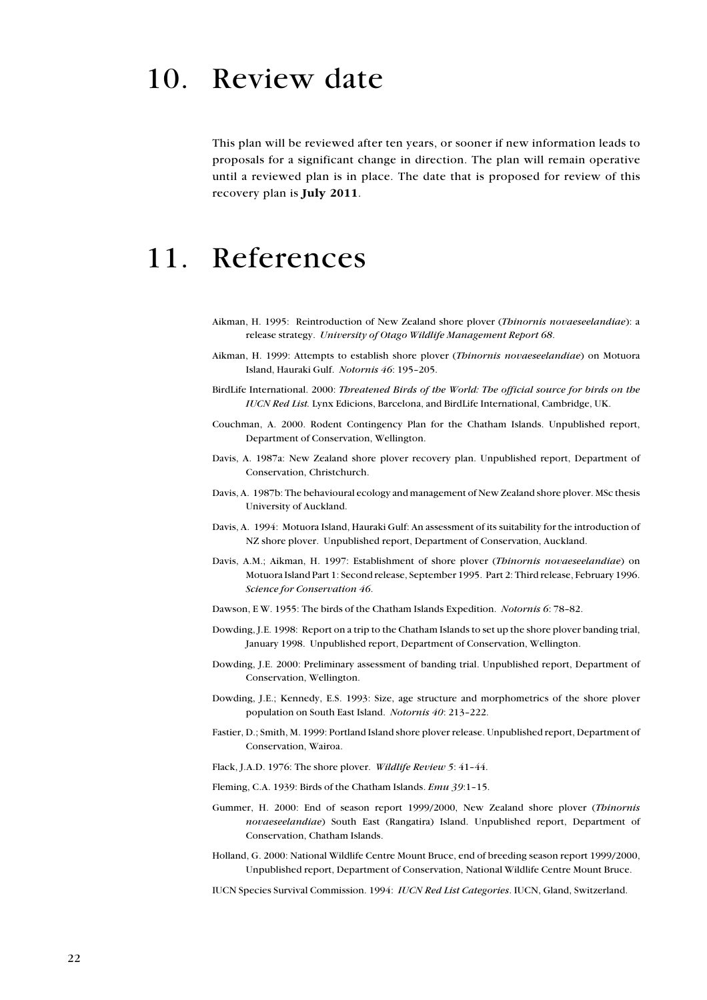## 10. Review date

This plan will be reviewed after ten years, or sooner if new information leads to proposals for a significant change in direction. The plan will remain operative until a reviewed plan is in place. The date that is proposed for review of this recovery plan is July 2011.

## 11. References

- Aikman, H. 1995: Reintroduction of New Zealand shore plover (Thinornis novaeseelandiae): a release strategy. University of Otago Wildlife Management Report 68.
- Aikman, H. 1999: Attempts to establish shore plover (Thinornis novaeseelandiae) on Motuora Island, Hauraki Gulf. Notornis 46: 195-205.
- BirdLife International. 2000: Threatened Birds of the World: The official source for birds on the IUCN Red List. Lynx Edicions, Barcelona, and BirdLife International, Cambridge, UK.
- Couchman, A. 2000. Rodent Contingency Plan for the Chatham Islands. Unpublished report, Department of Conservation, Wellington.
- Davis, A. 1987a: New Zealand shore plover recovery plan. Unpublished report, Department of Conservation, Christchurch.
- Davis, A. 1987b: The behavioural ecology and management of New Zealand shore plover. MSc thesis University of Auckland.
- Davis, A. 1994: Motuora Island, Hauraki Gulf: An assessment of its suitability for the introduction of NZ shore plover. Unpublished report, Department of Conservation, Auckland.
- Davis, A.M.; Aikman, H. 1997: Establishment of shore plover (Thinornis novaeseelandiae) on Motuora Island Part 1: Second release, September 1995. Part 2: Third release, February 1996. Science for Conservation 46.
- Dawson, E W. 1955: The birds of the Chatham Islands Expedition. Notornis 6: 78-82.
- Dowding, J.E. 1998: Report on a trip to the Chatham Islands to set up the shore plover banding trial, January 1998. Unpublished report, Department of Conservation, Wellington.
- Dowding, J.E. 2000: Preliminary assessment of banding trial. Unpublished report, Department of Conservation, Wellington.
- Dowding, J.E.; Kennedy, E.S. 1993: Size, age structure and morphometrics of the shore plover population on South East Island. Notornis 40: 213-222.
- Fastier, D.; Smith, M. 1999: Portland Island shore plover release. Unpublished report, Department of Conservation, Wairoa.
- Flack, J.A.D. 1976: The shore plover. Wildlife Review 5: 41-44.
- Fleming, C.A. 1939: Birds of the Chatham Islands. Emu 39:1-15.
- Gummer, H. 2000: End of season report 1999/2000, New Zealand shore plover (Thinornis novaeseelandiae) South East (Rangatira) Island. Unpublished report, Department of Conservation, Chatham Islands.
- Holland, G. 2000: National Wildlife Centre Mount Bruce, end of breeding season report 1999/2000, Unpublished report, Department of Conservation, National Wildlife Centre Mount Bruce.

IUCN Species Survival Commission. 1994: IUCN Red List Categories. IUCN, Gland, Switzerland.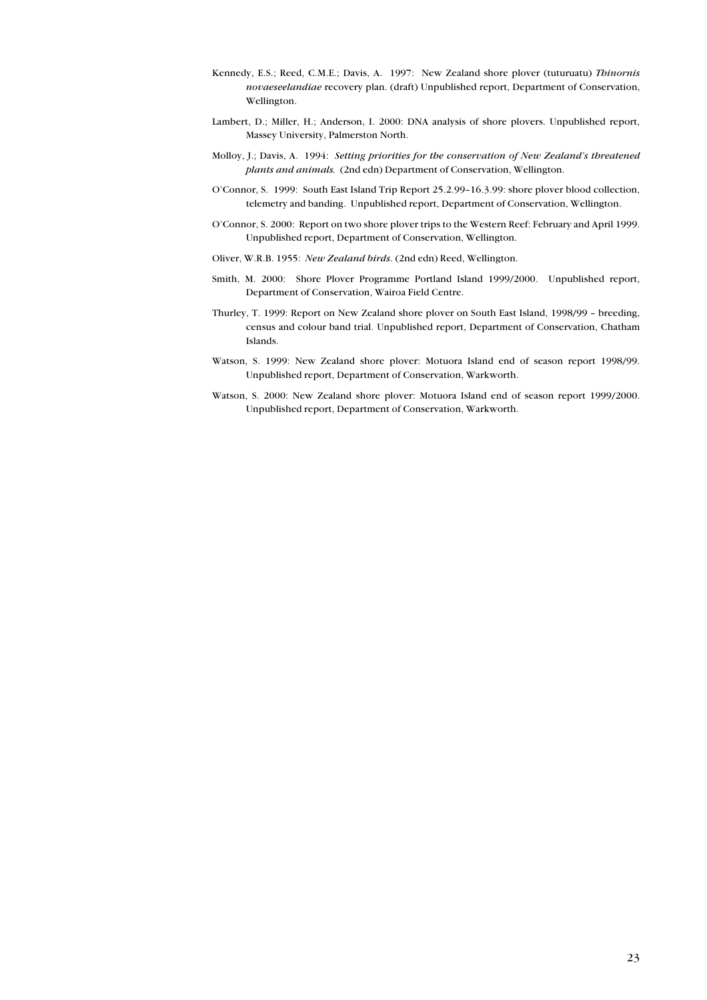- <span id="page-22-0"></span>Kennedy, E.S.; Reed, C.M.E.; Davis, A. 1997: New Zealand shore plover (tuturuatu) Thinornis novaeseelandiae recovery plan. (draft) Unpublished report, Department of Conservation, Wellington.
- Lambert, D.; Miller, H.; Anderson, I. 2000: DNA analysis of shore plovers. Unpublished report, Massey University, Palmerston North.
- Molloy, J.; Davis, A. 1994: Setting priorities for the conservation of New Zealand's threatened plants and animals. (2nd edn) Department of Conservation, Wellington.
- O'Connor, S. 1999: South East Island Trip Report 25.2.99-16.3.99: shore plover blood collection, telemetry and banding. Unpublished report, Department of Conservation, Wellington.
- O'Connor, S. 2000: Report on two shore plover trips to the Western Reef: February and April 1999. Unpublished report, Department of Conservation, Wellington.
- Oliver, W.R.B. 1955: New Zealand birds. (2nd edn) Reed, Wellington.
- Smith, M. 2000: Shore Plover Programme Portland Island 1999/2000. Unpublished report, Department of Conservation, Wairoa Field Centre.
- Thurley, T. 1999: Report on New Zealand shore plover on South East Island, 1998/99 breeding, census and colour band trial. Unpublished report, Department of Conservation, Chatham Islands.
- Watson, S. 1999: New Zealand shore plover: Motuora Island end of season report 1998/99. Unpublished report, Department of Conservation, Warkworth.
- Watson, S. 2000: New Zealand shore plover: Motuora Island end of season report 1999/2000. Unpublished report, Department of Conservation, Warkworth.